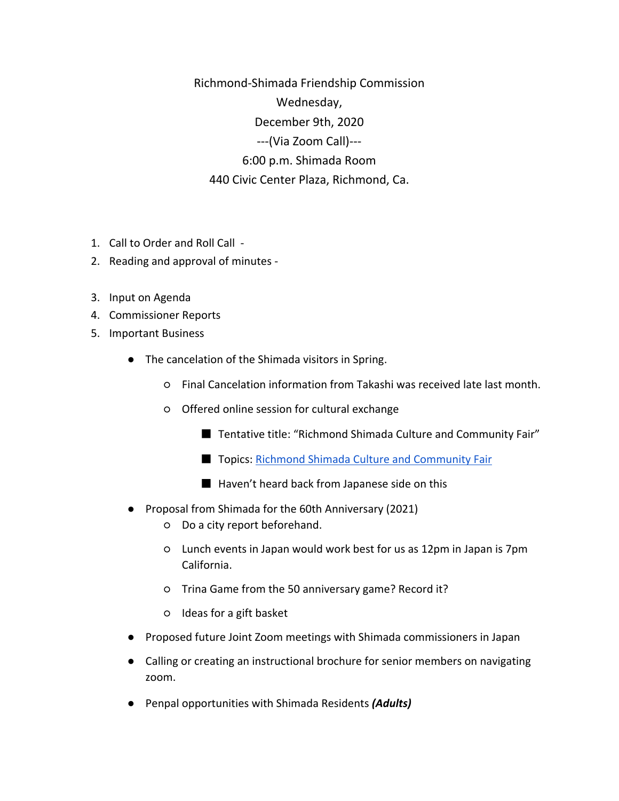Richmond-Shimada Friendship Commission Wednesday, December 9th, 2020 ---(Via Zoom Call)--- 6:00 p.m. Shimada Room 440 Civic Center Plaza, Richmond, Ca.

- 1. Call to Order and Roll Call -
- 2. Reading and approval of minutes -
- 3. Input on Agenda
- 4. Commissioner Reports
- 5. Important Business
	- The cancelation of the Shimada visitors in Spring.
		- Final Cancelation information from Takashi was received late last month.
		- Offered online session for cultural exchange
			- Tentative title: "Richmond Shimada Culture and Community Fair"
			- Topics: [Richmond Shimada Culture and Community Fair](https://docs.google.com/document/d/1yjIGCcFf1mTrwMLl-odkwNpj6zg5ATDwkJx4VOuvtx8/edi)
			- Haven't heard back from Japanese side on this
	- Proposal from Shimada for the 60th Anniversary (2021)
		- Do a city report beforehand.
		- Lunch events in Japan would work best for us as 12pm in Japan is 7pm California.
		- Trina Game from the 50 anniversary game? Record it?
		- Ideas for a gift basket
	- Proposed future Joint Zoom meetings with Shimada commissioners in Japan
	- Calling or creating an instructional brochure for senior members on navigating zoom.
	- Penpal opportunities with Shimada Residents *(Adults)*